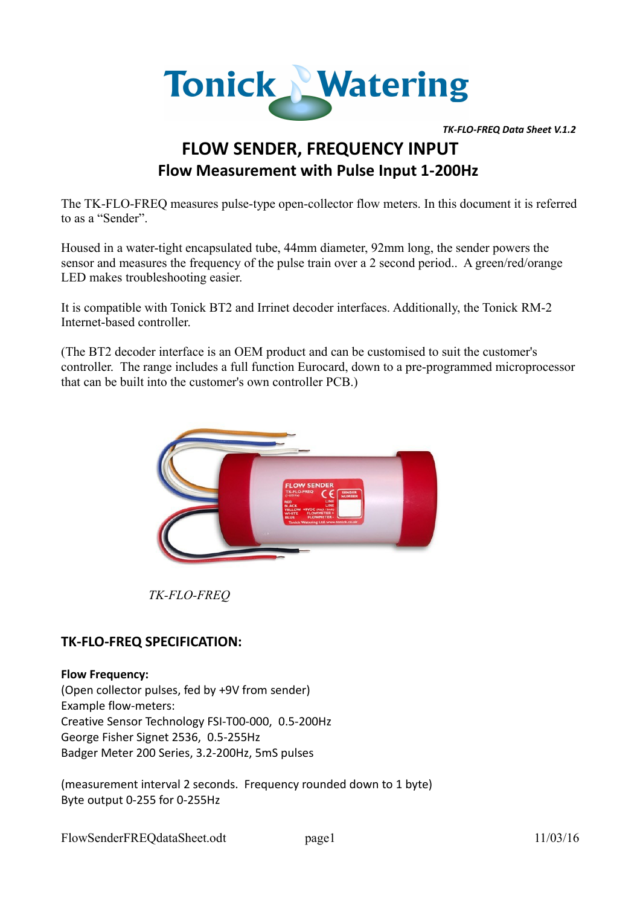

*TK-FLO-FREQ Data Sheet V.1.2* 

# **FLOW SENDER, FREQUENCY INPUT Flow Measurement with Pulse Input 1-200Hz**

The TK-FLO-FREQ measures pulse-type open-collector flow meters. In this document it is referred to as a "Sender".

Housed in a water-tight encapsulated tube, 44mm diameter, 92mm long, the sender powers the sensor and measures the frequency of the pulse train over a 2 second period.. A green/red/orange LED makes troubleshooting easier.

It is compatible with Tonick BT2 and Irrinet decoder interfaces. Additionally, the Tonick RM-2 Internet-based controller.

(The BT2 decoder interface is an OEM product and can be customised to suit the customer's controller. The range includes a full function Eurocard, down to a pre-programmed microprocessor that can be built into the customer's own controller PCB.)



*TK-FLO-FREQ*

# **TK-FLO-FREQ SPECIFICATION:**

#### **Flow Frequency:**

(Open collector pulses, fed by +9V from sender) Example flow-meters: Creative Sensor Technology FSI-T00-000, 0.5-200Hz George Fisher Signet 2536, 0.5-255Hz Badger Meter 200 Series, 3.2-200Hz, 5mS pulses

(measurement interval 2 seconds. Frequency rounded down to 1 byte) Byte output 0-255 for 0-255Hz

FlowSenderFREQdataSheet.odt page1 11/03/16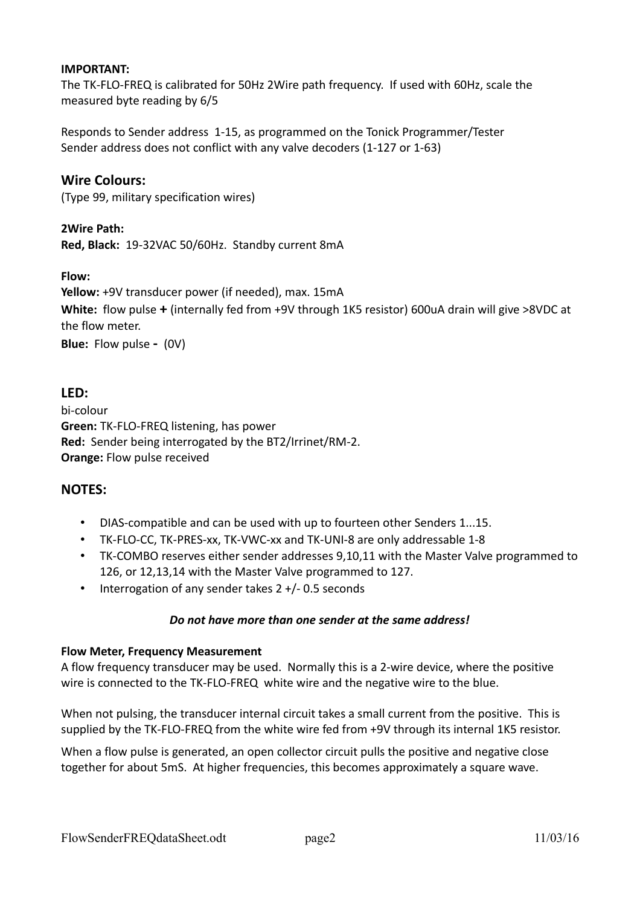#### **IMPORTANT:**

The TK-FLO-FREQ is calibrated for 50Hz 2Wire path frequency. If used with 60Hz, scale the measured byte reading by 6/5

Responds to Sender address 1-15, as programmed on the Tonick Programmer/Tester Sender address does not conflict with any valve decoders (1-127 or 1-63)

# **Wire Colours:**

(Type 99, military specification wires)

#### **2Wire Path:**

**Red, Black:** 19-32VAC 50/60Hz. Standby current 8mA

### **Flow:**

**Yellow:** +9V transducer power (if needed), max. 15mA **White:** flow pulse **+** (internally fed from +9V through 1K5 resistor) 600uA drain will give >8VDC at the flow meter. **Blue:** Flow pulse **-** (0V)

## **LED:**

bi-colour **Green:** TK-FLO-FREQ listening, has power **Red:** Sender being interrogated by the BT2/Irrinet/RM-2. **Orange:** Flow pulse received

## **NOTES:**

- DIAS-compatible and can be used with up to fourteen other Senders 1...15.
- TK-FLO-CC, TK-PRES-xx, TK-VWC-xx and TK-UNI-8 are only addressable 1-8
- TK-COMBO reserves either sender addresses 9,10,11 with the Master Valve programmed to 126, or 12,13,14 with the Master Valve programmed to 127.
- Interrogation of any sender takes 2 +/- 0.5 seconds

#### *Do not have more than one sender at the same address!*

#### **Flow Meter, Frequency Measurement**

A flow frequency transducer may be used. Normally this is a 2-wire device, where the positive wire is connected to the TK-FLO-FREQ white wire and the negative wire to the blue.

When not pulsing, the transducer internal circuit takes a small current from the positive. This is supplied by the TK-FLO-FREQ from the white wire fed from +9V through its internal 1K5 resistor.

When a flow pulse is generated, an open collector circuit pulls the positive and negative close together for about 5mS. At higher frequencies, this becomes approximately a square wave.